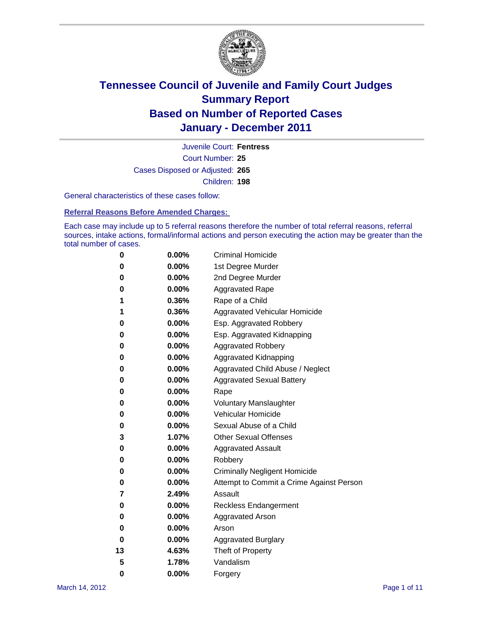

Court Number: **25** Juvenile Court: **Fentress** Cases Disposed or Adjusted: **265** Children: **198**

General characteristics of these cases follow:

**Referral Reasons Before Amended Charges:** 

Each case may include up to 5 referral reasons therefore the number of total referral reasons, referral sources, intake actions, formal/informal actions and person executing the action may be greater than the total number of cases.

| 0  | 0.00%    | <b>Criminal Homicide</b>                 |
|----|----------|------------------------------------------|
| 0  | 0.00%    | 1st Degree Murder                        |
| 0  | 0.00%    | 2nd Degree Murder                        |
| 0  | 0.00%    | <b>Aggravated Rape</b>                   |
| 1  | 0.36%    | Rape of a Child                          |
| 1  | 0.36%    | Aggravated Vehicular Homicide            |
| 0  | 0.00%    | Esp. Aggravated Robbery                  |
| 0  | 0.00%    | Esp. Aggravated Kidnapping               |
| 0  | 0.00%    | <b>Aggravated Robbery</b>                |
| 0  | 0.00%    | Aggravated Kidnapping                    |
| 0  | 0.00%    | Aggravated Child Abuse / Neglect         |
| 0  | 0.00%    | <b>Aggravated Sexual Battery</b>         |
| 0  | 0.00%    | Rape                                     |
| 0  | 0.00%    | <b>Voluntary Manslaughter</b>            |
| 0  | 0.00%    | Vehicular Homicide                       |
| 0  | 0.00%    | Sexual Abuse of a Child                  |
| 3  | 1.07%    | <b>Other Sexual Offenses</b>             |
| 0  | 0.00%    | <b>Aggravated Assault</b>                |
| 0  | $0.00\%$ | Robbery                                  |
| 0  | 0.00%    | <b>Criminally Negligent Homicide</b>     |
| 0  | 0.00%    | Attempt to Commit a Crime Against Person |
| 7  | 2.49%    | Assault                                  |
| 0  | 0.00%    | <b>Reckless Endangerment</b>             |
| 0  | 0.00%    | <b>Aggravated Arson</b>                  |
| 0  | 0.00%    | Arson                                    |
| 0  | 0.00%    | <b>Aggravated Burglary</b>               |
| 13 | 4.63%    | Theft of Property                        |
| 5  | 1.78%    | Vandalism                                |
| 0  | 0.00%    | Forgery                                  |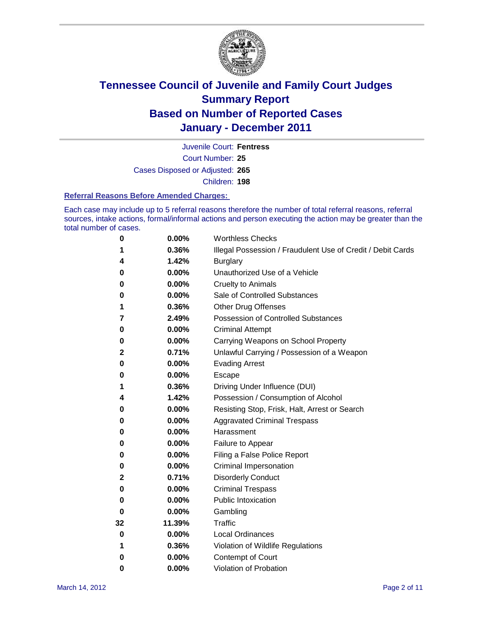

Court Number: **25** Juvenile Court: **Fentress** Cases Disposed or Adjusted: **265** Children: **198**

#### **Referral Reasons Before Amended Charges:**

Each case may include up to 5 referral reasons therefore the number of total referral reasons, referral sources, intake actions, formal/informal actions and person executing the action may be greater than the total number of cases.

| 0  | 0.00%  | <b>Worthless Checks</b>                                     |
|----|--------|-------------------------------------------------------------|
| 1  | 0.36%  | Illegal Possession / Fraudulent Use of Credit / Debit Cards |
| 4  | 1.42%  | <b>Burglary</b>                                             |
| 0  | 0.00%  | Unauthorized Use of a Vehicle                               |
| 0  | 0.00%  | <b>Cruelty to Animals</b>                                   |
| 0  | 0.00%  | Sale of Controlled Substances                               |
| 1  | 0.36%  | <b>Other Drug Offenses</b>                                  |
| 7  | 2.49%  | <b>Possession of Controlled Substances</b>                  |
| 0  | 0.00%  | <b>Criminal Attempt</b>                                     |
| 0  | 0.00%  | Carrying Weapons on School Property                         |
| 2  | 0.71%  | Unlawful Carrying / Possession of a Weapon                  |
| 0  | 0.00%  | <b>Evading Arrest</b>                                       |
| 0  | 0.00%  | Escape                                                      |
| 1  | 0.36%  | Driving Under Influence (DUI)                               |
| 4  | 1.42%  | Possession / Consumption of Alcohol                         |
| 0  | 0.00%  | Resisting Stop, Frisk, Halt, Arrest or Search               |
| 0  | 0.00%  | <b>Aggravated Criminal Trespass</b>                         |
| 0  | 0.00%  | Harassment                                                  |
| 0  | 0.00%  | Failure to Appear                                           |
| 0  | 0.00%  | Filing a False Police Report                                |
| 0  | 0.00%  | Criminal Impersonation                                      |
| 2  | 0.71%  | <b>Disorderly Conduct</b>                                   |
| 0  | 0.00%  | <b>Criminal Trespass</b>                                    |
| 0  | 0.00%  | <b>Public Intoxication</b>                                  |
| 0  | 0.00%  | Gambling                                                    |
| 32 | 11.39% | <b>Traffic</b>                                              |
| 0  | 0.00%  | <b>Local Ordinances</b>                                     |
| 1  | 0.36%  | Violation of Wildlife Regulations                           |
| 0  | 0.00%  | Contempt of Court                                           |
| 0  | 0.00%  | Violation of Probation                                      |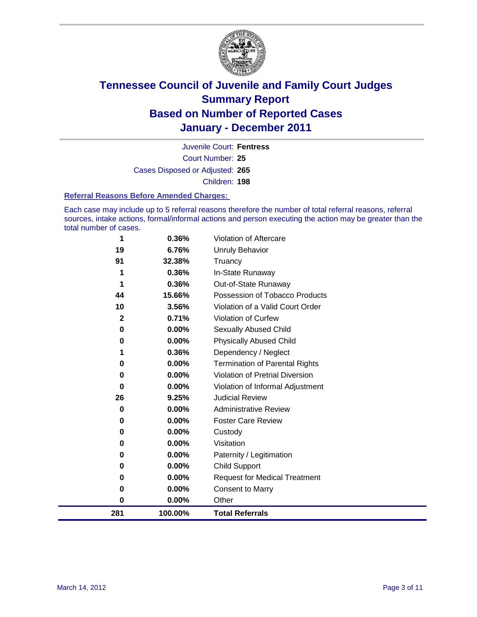

Court Number: **25** Juvenile Court: **Fentress** Cases Disposed or Adjusted: **265** Children: **198**

#### **Referral Reasons Before Amended Charges:**

Each case may include up to 5 referral reasons therefore the number of total referral reasons, referral sources, intake actions, formal/informal actions and person executing the action may be greater than the total number of cases.

| 1            | 0.36%   | <b>Violation of Aftercare</b>          |
|--------------|---------|----------------------------------------|
| 19           | 6.76%   | <b>Unruly Behavior</b>                 |
| 91           | 32.38%  | Truancy                                |
|              | 0.36%   | In-State Runaway                       |
|              | 0.36%   | Out-of-State Runaway                   |
| 44           | 15.66%  | Possession of Tobacco Products         |
| 10           | 3.56%   | Violation of a Valid Court Order       |
| $\mathbf{2}$ | 0.71%   | <b>Violation of Curfew</b>             |
| 0            | 0.00%   | <b>Sexually Abused Child</b>           |
| 0            | 0.00%   | <b>Physically Abused Child</b>         |
|              | 0.36%   | Dependency / Neglect                   |
| 0            | 0.00%   | <b>Termination of Parental Rights</b>  |
| 0            | 0.00%   | <b>Violation of Pretrial Diversion</b> |
| 0            | 0.00%   | Violation of Informal Adjustment       |
| 26           | 9.25%   | <b>Judicial Review</b>                 |
| 0            | 0.00%   | <b>Administrative Review</b>           |
| 0            | 0.00%   | <b>Foster Care Review</b>              |
| 0            | 0.00%   | Custody                                |
| 0            | 0.00%   | Visitation                             |
| 0            | 0.00%   | Paternity / Legitimation               |
| 0            | 0.00%   | <b>Child Support</b>                   |
| 0            | 0.00%   | <b>Request for Medical Treatment</b>   |
| 0            | 0.00%   | <b>Consent to Marry</b>                |
| $\bf{0}$     | 0.00%   | Other                                  |
| 281          | 100.00% | <b>Total Referrals</b>                 |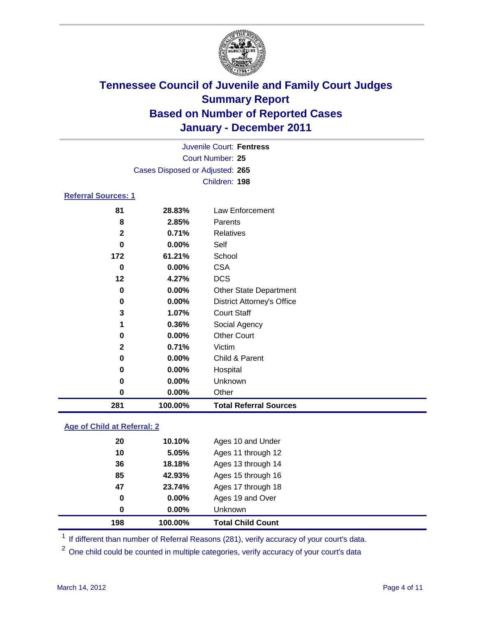

| 281                             | 100.00%                  | <b>Total Referral Sources</b>     |  |
|---------------------------------|--------------------------|-----------------------------------|--|
| 0                               | 0.00%                    | Other                             |  |
| 0                               | 0.00%                    | Unknown                           |  |
| 0                               | 0.00%                    | Hospital                          |  |
| 0                               | 0.00%                    | Child & Parent                    |  |
| $\mathbf{2}$                    | 0.71%                    | Victim                            |  |
| 0                               | 0.00%                    | <b>Other Court</b>                |  |
| 1                               | 0.36%                    | Social Agency                     |  |
| 3                               | 1.07%                    | <b>Court Staff</b>                |  |
| 0                               | 0.00%                    | <b>District Attorney's Office</b> |  |
| 0                               | 0.00%                    | <b>Other State Department</b>     |  |
| 12                              | 4.27%                    | <b>DCS</b>                        |  |
| 0                               | 0.00%                    | <b>CSA</b>                        |  |
| 172                             | 61.21%                   | School                            |  |
| 0                               | 0.00%                    | Self                              |  |
| $\mathbf{2}$                    | 0.71%                    | <b>Relatives</b>                  |  |
| 8                               | 2.85%                    | Parents                           |  |
| 81                              | 28.83%                   | Law Enforcement                   |  |
| <b>Referral Sources: 1</b>      |                          |                                   |  |
|                                 |                          | Children: 198                     |  |
| Cases Disposed or Adjusted: 265 |                          |                                   |  |
|                                 | Court Number: 25         |                                   |  |
|                                 | Juvenile Court: Fentress |                                   |  |
|                                 |                          |                                   |  |

### **Age of Child at Referral: 2**

| 198 | 100.00% | <b>Total Child Count</b> |
|-----|---------|--------------------------|
| 0   | 0.00%   | Unknown                  |
| 0   | 0.00%   | Ages 19 and Over         |
| 47  | 23.74%  | Ages 17 through 18       |
| 85  | 42.93%  | Ages 15 through 16       |
| 36  | 18.18%  | Ages 13 through 14       |
| 10  | 5.05%   | Ages 11 through 12       |
| 20  | 10.10%  | Ages 10 and Under        |
|     |         |                          |

<sup>1</sup> If different than number of Referral Reasons (281), verify accuracy of your court's data.

<sup>2</sup> One child could be counted in multiple categories, verify accuracy of your court's data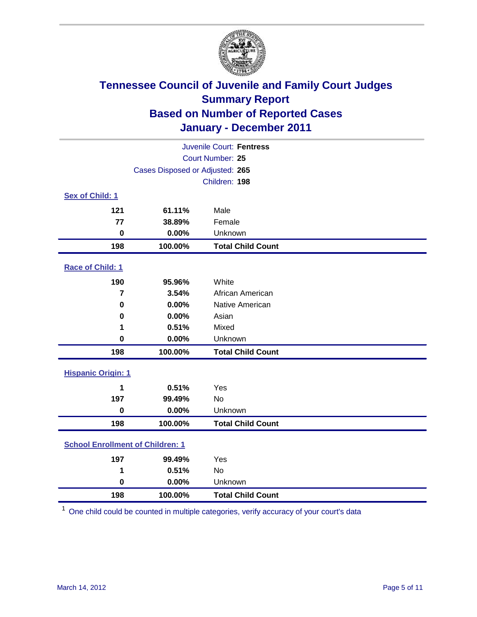

| Juvenile Court: Fentress                |                                 |                          |  |  |
|-----------------------------------------|---------------------------------|--------------------------|--|--|
| <b>Court Number: 25</b>                 |                                 |                          |  |  |
|                                         | Cases Disposed or Adjusted: 265 |                          |  |  |
|                                         |                                 | Children: 198            |  |  |
| Sex of Child: 1                         |                                 |                          |  |  |
| 121                                     | 61.11%                          | Male                     |  |  |
| 77                                      | 38.89%                          | Female                   |  |  |
| $\mathbf 0$                             | 0.00%                           | Unknown                  |  |  |
| 198                                     | 100.00%                         | <b>Total Child Count</b> |  |  |
| Race of Child: 1                        |                                 |                          |  |  |
| 190                                     | 95.96%                          | White                    |  |  |
| $\overline{7}$                          | 3.54%                           | African American         |  |  |
| 0                                       | 0.00%                           | Native American          |  |  |
| 0                                       | 0.00%                           | Asian                    |  |  |
| 1                                       | 0.51%                           | Mixed                    |  |  |
| 0                                       | 0.00%                           | Unknown                  |  |  |
| 198                                     | 100.00%                         | <b>Total Child Count</b> |  |  |
| <b>Hispanic Origin: 1</b>               |                                 |                          |  |  |
| 1                                       | 0.51%                           | Yes                      |  |  |
| 197                                     | 99.49%                          | <b>No</b>                |  |  |
| $\mathbf 0$                             | 0.00%                           | Unknown                  |  |  |
| 198                                     | 100.00%                         | <b>Total Child Count</b> |  |  |
| <b>School Enrollment of Children: 1</b> |                                 |                          |  |  |
| 197                                     | 99.49%                          | Yes                      |  |  |
| 1                                       | 0.51%                           | No                       |  |  |
| 0                                       | 0.00%                           | Unknown                  |  |  |
| 198                                     | 100.00%                         | <b>Total Child Count</b> |  |  |

One child could be counted in multiple categories, verify accuracy of your court's data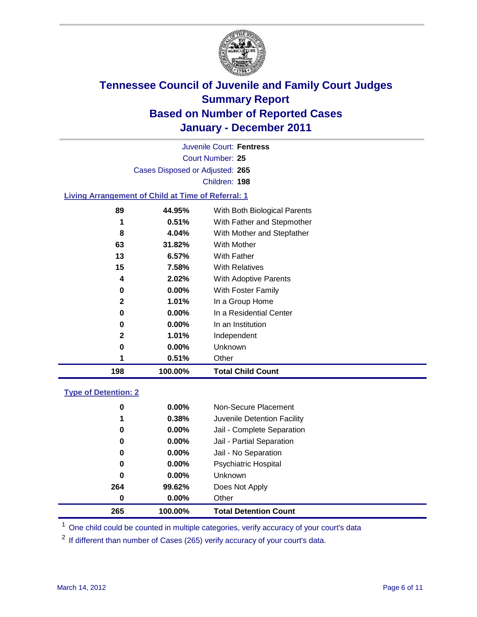

Court Number: **25** Juvenile Court: **Fentress** Cases Disposed or Adjusted: **265** Children: **198**

### **Living Arrangement of Child at Time of Referral: 1**

| 1            | 0.51%    | Other                        |
|--------------|----------|------------------------------|
|              |          |                              |
| 0            | $0.00\%$ | Unknown                      |
| $\mathbf{2}$ | 1.01%    | Independent                  |
| 0            | $0.00\%$ | In an Institution            |
| 0            | $0.00\%$ | In a Residential Center      |
| $\mathbf{2}$ | 1.01%    | In a Group Home              |
| 0            | $0.00\%$ | With Foster Family           |
| 4            | 2.02%    | With Adoptive Parents        |
| 15           | 7.58%    | <b>With Relatives</b>        |
| 13           | 6.57%    | <b>With Father</b>           |
| 63           | 31.82%   | With Mother                  |
| 8            | 4.04%    | With Mother and Stepfather   |
| 1            | 0.51%    | With Father and Stepmother   |
| 89           | 44.95%   | With Both Biological Parents |
|              |          |                              |

#### **Type of Detention: 2**

| 265      | 100.00%  | <b>Total Detention Count</b> |
|----------|----------|------------------------------|
| 0        | 0.00%    | Other                        |
| 264      | 99.62%   | Does Not Apply               |
| $\bf{0}$ | $0.00\%$ | <b>Unknown</b>               |
| 0        | 0.00%    | <b>Psychiatric Hospital</b>  |
| 0        | 0.00%    | Jail - No Separation         |
| 0        | $0.00\%$ | Jail - Partial Separation    |
| 0        | $0.00\%$ | Jail - Complete Separation   |
| 1        | 0.38%    | Juvenile Detention Facility  |
| 0        | $0.00\%$ | Non-Secure Placement         |
|          |          |                              |

<sup>1</sup> One child could be counted in multiple categories, verify accuracy of your court's data

<sup>2</sup> If different than number of Cases (265) verify accuracy of your court's data.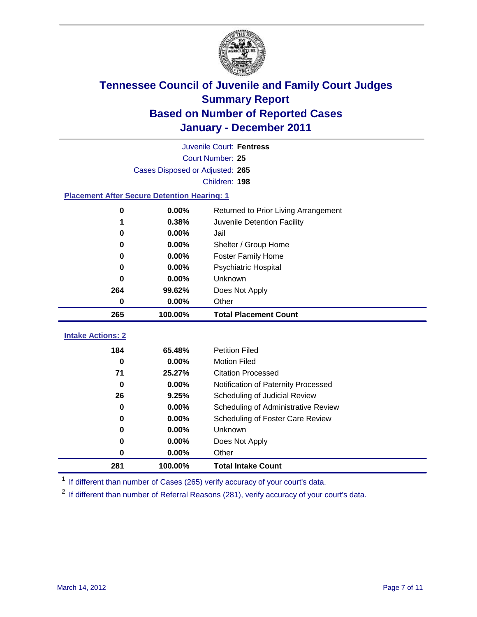

|                                                    | Juvenile Court: Fentress        |                                      |  |  |  |
|----------------------------------------------------|---------------------------------|--------------------------------------|--|--|--|
|                                                    | Court Number: 25                |                                      |  |  |  |
|                                                    | Cases Disposed or Adjusted: 265 |                                      |  |  |  |
|                                                    |                                 | Children: 198                        |  |  |  |
| <b>Placement After Secure Detention Hearing: 1</b> |                                 |                                      |  |  |  |
| $\pmb{0}$                                          | 0.00%                           | Returned to Prior Living Arrangement |  |  |  |
| 1                                                  | 0.38%                           | Juvenile Detention Facility          |  |  |  |
| 0                                                  | 0.00%                           | Jail                                 |  |  |  |
| 0                                                  | 0.00%                           | Shelter / Group Home                 |  |  |  |
| 0                                                  | 0.00%                           | Foster Family Home                   |  |  |  |
| $\bf{0}$                                           | 0.00%                           | <b>Psychiatric Hospital</b>          |  |  |  |
| 0                                                  | 0.00%                           | Unknown                              |  |  |  |
| 264                                                | 99.62%                          | Does Not Apply                       |  |  |  |
| $\bf{0}$                                           | 0.00%                           | Other                                |  |  |  |
| 265                                                | 100.00%                         | <b>Total Placement Count</b>         |  |  |  |
| <b>Intake Actions: 2</b>                           |                                 |                                      |  |  |  |
|                                                    |                                 |                                      |  |  |  |
| 184                                                | 65.48%                          | <b>Petition Filed</b>                |  |  |  |
| $\bf{0}$                                           | 0.00%                           | <b>Motion Filed</b>                  |  |  |  |
| 71                                                 | 25.27%                          | <b>Citation Processed</b>            |  |  |  |
| $\bf{0}$                                           | 0.00%                           | Notification of Paternity Processed  |  |  |  |
| 26                                                 | 9.25%                           | Scheduling of Judicial Review        |  |  |  |
| 0                                                  | 0.00%                           | Scheduling of Administrative Review  |  |  |  |
| 0                                                  | 0.00%                           | Scheduling of Foster Care Review     |  |  |  |
| $\bf{0}$                                           | 0.00%                           | Unknown                              |  |  |  |
| 0                                                  | 0.00%                           | Does Not Apply                       |  |  |  |
| 0                                                  | 0.00%                           | Other                                |  |  |  |
| 281                                                | 100.00%                         | <b>Total Intake Count</b>            |  |  |  |

<sup>1</sup> If different than number of Cases (265) verify accuracy of your court's data.

<sup>2</sup> If different than number of Referral Reasons (281), verify accuracy of your court's data.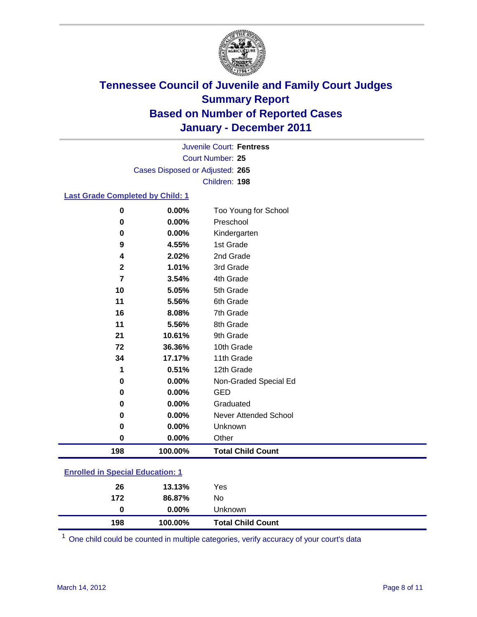

Court Number: **25** Juvenile Court: **Fentress** Cases Disposed or Adjusted: **265** Children: **198**

#### **Last Grade Completed by Child: 1**

| 0                                       | 0.00%   | Too Young for School         |
|-----------------------------------------|---------|------------------------------|
| 0                                       | 0.00%   | Preschool                    |
| 0                                       | 0.00%   | Kindergarten                 |
| 9                                       | 4.55%   | 1st Grade                    |
| 4                                       | 2.02%   | 2nd Grade                    |
| $\mathbf{2}$                            | 1.01%   | 3rd Grade                    |
| 7                                       | 3.54%   | 4th Grade                    |
| 10                                      | 5.05%   | 5th Grade                    |
| 11                                      | 5.56%   | 6th Grade                    |
| 16                                      | 8.08%   | 7th Grade                    |
| 11                                      | 5.56%   | 8th Grade                    |
| 21                                      | 10.61%  | 9th Grade                    |
| 72                                      | 36.36%  | 10th Grade                   |
| 34                                      | 17.17%  | 11th Grade                   |
| 1                                       | 0.51%   | 12th Grade                   |
| 0                                       | 0.00%   | Non-Graded Special Ed        |
| 0                                       | 0.00%   | <b>GED</b>                   |
| 0                                       | 0.00%   | Graduated                    |
| 0                                       | 0.00%   | <b>Never Attended School</b> |
| 0                                       | 0.00%   | Unknown                      |
| 0                                       | 0.00%   | Other                        |
| 198                                     | 100.00% | <b>Total Child Count</b>     |
| <b>Enrolled in Special Education: 1</b> |         |                              |

| 198             | 100.00%  | <b>Total Child Count</b> |
|-----------------|----------|--------------------------|
| $\bf{0}$        | $0.00\%$ | <b>Unknown</b>           |
| 172             | 86.87%   | No.                      |
| 26              | 13.13%   | Yes                      |
| --------------- | .        |                          |

One child could be counted in multiple categories, verify accuracy of your court's data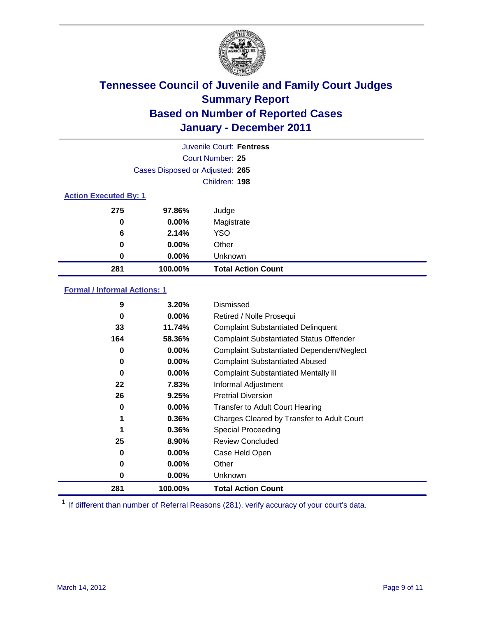

|     | Juvenile Court: Fentress        |                           |  |  |  |
|-----|---------------------------------|---------------------------|--|--|--|
|     | Court Number: 25                |                           |  |  |  |
|     | Cases Disposed or Adjusted: 265 |                           |  |  |  |
|     | Children: 198                   |                           |  |  |  |
|     | <b>Action Executed By: 1</b>    |                           |  |  |  |
| 275 | 97.86%                          | Judge                     |  |  |  |
| 0   | 0.00%                           | Magistrate                |  |  |  |
| 6   | 2.14%                           | <b>YSO</b>                |  |  |  |
| 0   | 0.00%                           | Other                     |  |  |  |
| 0   | 0.00%                           | Unknown                   |  |  |  |
| 281 | 100.00%                         | <b>Total Action Count</b> |  |  |  |

### **Formal / Informal Actions: 1**

| 9        | 3.20%    | Dismissed                                        |
|----------|----------|--------------------------------------------------|
| 0        | $0.00\%$ | Retired / Nolle Prosequi                         |
| 33       | 11.74%   | <b>Complaint Substantiated Delinquent</b>        |
| 164      | 58.36%   | <b>Complaint Substantiated Status Offender</b>   |
| 0        | $0.00\%$ | <b>Complaint Substantiated Dependent/Neglect</b> |
| 0        | $0.00\%$ | <b>Complaint Substantiated Abused</b>            |
| $\bf{0}$ | $0.00\%$ | <b>Complaint Substantiated Mentally III</b>      |
| 22       | 7.83%    | Informal Adjustment                              |
| 26       | 9.25%    | <b>Pretrial Diversion</b>                        |
| 0        | $0.00\%$ | <b>Transfer to Adult Court Hearing</b>           |
| 1        | 0.36%    | Charges Cleared by Transfer to Adult Court       |
|          | 0.36%    | <b>Special Proceeding</b>                        |
| 25       | 8.90%    | <b>Review Concluded</b>                          |
| 0        | $0.00\%$ | Case Held Open                                   |
| 0        | $0.00\%$ | Other                                            |
| 0        | $0.00\%$ | Unknown                                          |
| 281      | 100.00%  | <b>Total Action Count</b>                        |

<sup>1</sup> If different than number of Referral Reasons (281), verify accuracy of your court's data.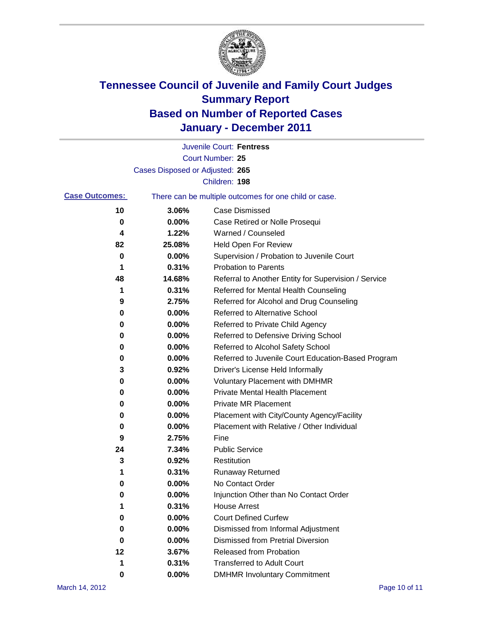

|                       |                                 | Juvenile Court: Fentress                              |
|-----------------------|---------------------------------|-------------------------------------------------------|
|                       |                                 | <b>Court Number: 25</b>                               |
|                       | Cases Disposed or Adjusted: 265 |                                                       |
|                       |                                 | Children: 198                                         |
| <b>Case Outcomes:</b> |                                 | There can be multiple outcomes for one child or case. |
| 10                    | 3.06%                           | <b>Case Dismissed</b>                                 |
| 0                     | 0.00%                           | Case Retired or Nolle Prosequi                        |
| 4                     | 1.22%                           | Warned / Counseled                                    |
| 82                    | 25.08%                          | <b>Held Open For Review</b>                           |
| 0                     | 0.00%                           | Supervision / Probation to Juvenile Court             |
| 1                     | 0.31%                           | <b>Probation to Parents</b>                           |
| 48                    | 14.68%                          | Referral to Another Entity for Supervision / Service  |
| 1                     | 0.31%                           | Referred for Mental Health Counseling                 |
| 9                     | 2.75%                           | Referred for Alcohol and Drug Counseling              |
| 0                     | 0.00%                           | <b>Referred to Alternative School</b>                 |
| 0                     | 0.00%                           | Referred to Private Child Agency                      |
| 0                     | 0.00%                           | Referred to Defensive Driving School                  |
| 0                     | 0.00%                           | Referred to Alcohol Safety School                     |
| 0                     | 0.00%                           | Referred to Juvenile Court Education-Based Program    |
| 3                     | 0.92%                           | Driver's License Held Informally                      |
| 0                     | 0.00%                           | <b>Voluntary Placement with DMHMR</b>                 |
| 0                     | 0.00%                           | <b>Private Mental Health Placement</b>                |
| 0                     | 0.00%                           | <b>Private MR Placement</b>                           |
| 0                     | 0.00%                           | Placement with City/County Agency/Facility            |
| 0                     | 0.00%                           | Placement with Relative / Other Individual            |
| 9                     | 2.75%                           | Fine                                                  |
| 24                    | 7.34%                           | <b>Public Service</b>                                 |
| 3                     | 0.92%                           | Restitution                                           |
| 1                     | 0.31%                           | <b>Runaway Returned</b>                               |
| 0                     | 0.00%                           | No Contact Order                                      |
| 0                     | 0.00%                           | Injunction Other than No Contact Order                |
| 1                     | 0.31%                           | <b>House Arrest</b>                                   |
| 0                     | 0.00%                           | <b>Court Defined Curfew</b>                           |
| 0                     | 0.00%                           | Dismissed from Informal Adjustment                    |
| 0                     | 0.00%                           | <b>Dismissed from Pretrial Diversion</b>              |
| 12                    | 3.67%                           | Released from Probation                               |
| 1                     | 0.31%                           | <b>Transferred to Adult Court</b>                     |
| 0                     | $0.00\%$                        | <b>DMHMR Involuntary Commitment</b>                   |